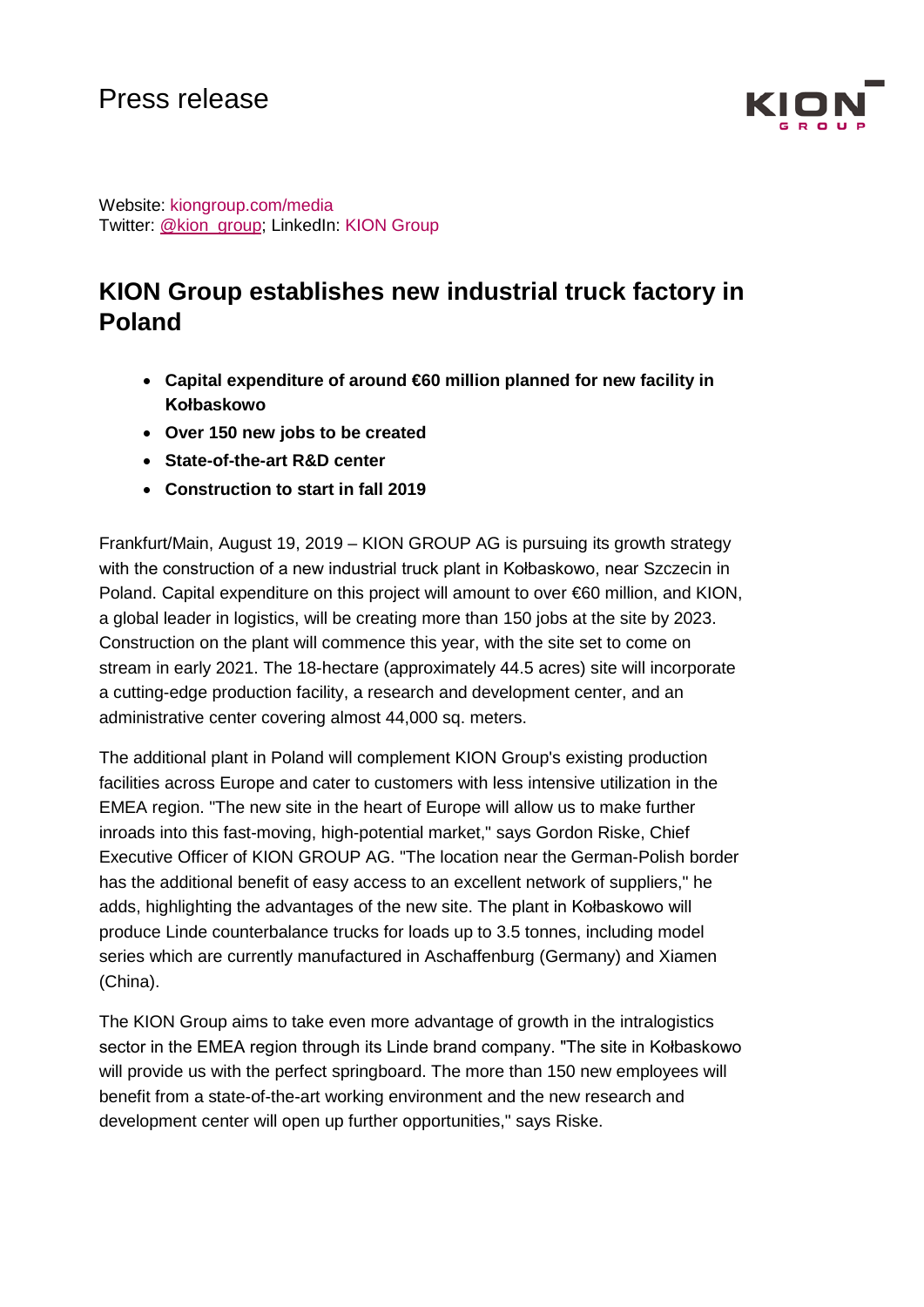

Website: kiongroup.com/media Twitter: [@kion\\_group;](https://twitter.com/kion_group) LinkedIn: KION Group

# **KION Group establishes new industrial truck factory in Poland**

- **Capital expenditure of around €60 million planned for new facility in Kołbaskowo**
- **Over 150 new jobs to be created**
- **State-of-the-art R&D center**
- **Construction to start in fall 2019**

Frankfurt/Main, August 19, 2019 – KION GROUP AG is pursuing its growth strategy with the construction of a new industrial truck plant in Kołbaskowo, near Szczecin in Poland. Capital expenditure on this project will amount to over €60 million, and KION, a global leader in logistics, will be creating more than 150 jobs at the site by 2023. Construction on the plant will commence this year, with the site set to come on stream in early 2021. The 18-hectare (approximately 44.5 acres) site will incorporate a cutting-edge production facility, a research and development center, and an administrative center covering almost 44,000 sq. meters.

The additional plant in Poland will complement KION Group's existing production facilities across Europe and cater to customers with less intensive utilization in the EMEA region. "The new site in the heart of Europe will allow us to make further inroads into this fast-moving, high-potential market," says Gordon Riske, Chief Executive Officer of KION GROUP AG. "The location near the German-Polish border has the additional benefit of easy access to an excellent network of suppliers," he adds, highlighting the advantages of the new site. The plant in Kołbaskowo will produce Linde counterbalance trucks for loads up to 3.5 tonnes, including model series which are currently manufactured in Aschaffenburg (Germany) and Xiamen (China).

The KION Group aims to take even more advantage of growth in the intralogistics sector in the EMEA region through its Linde brand company. "The site in Kołbaskowo will provide us with the perfect springboard. The more than 150 new employees will benefit from a state-of-the-art working environment and the new research and development center will open up further opportunities," says Riske.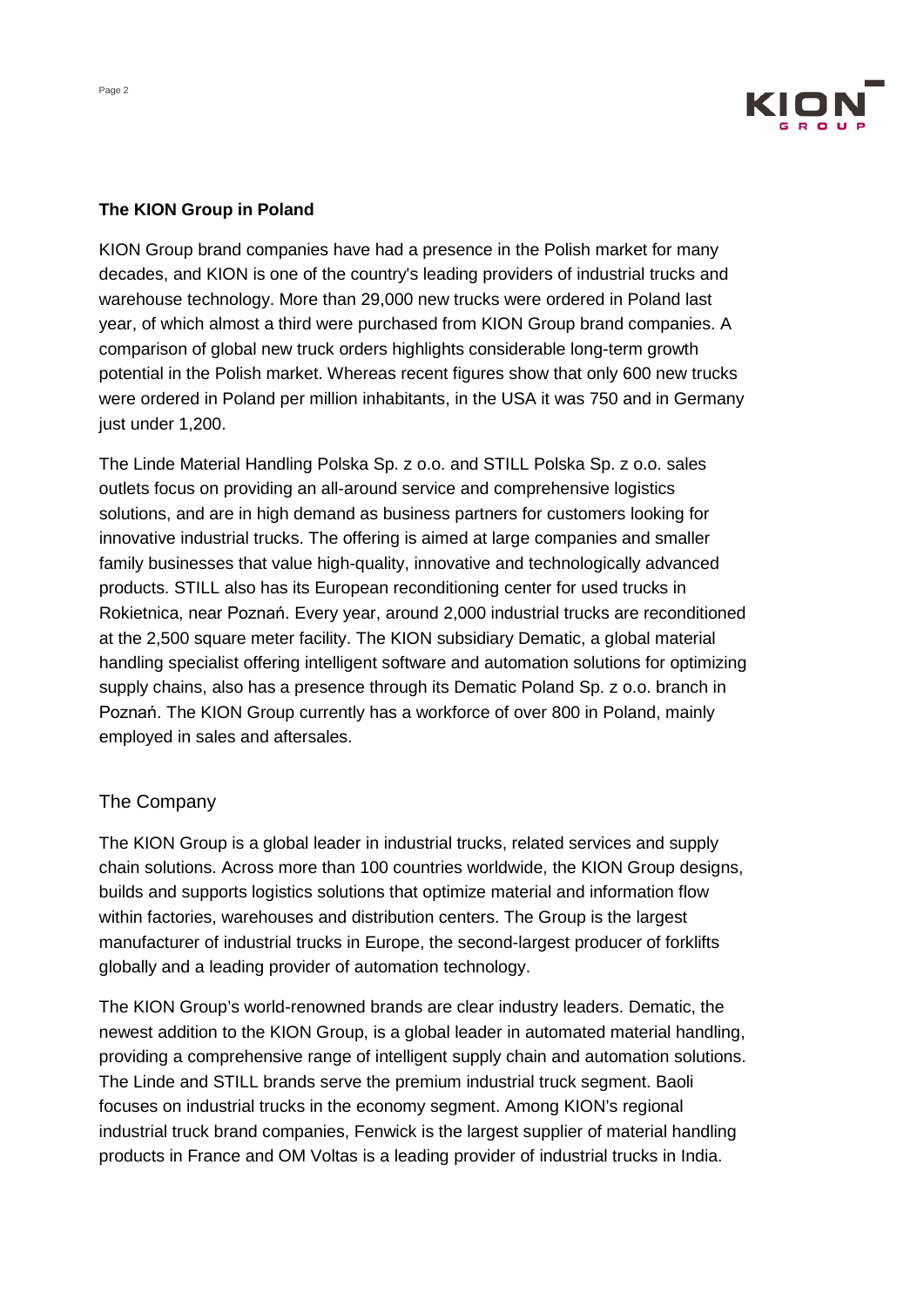

### **The KION Group in Poland**

KION Group brand companies have had a presence in the Polish market for many decades, and KION is one of the country's leading providers of industrial trucks and warehouse technology. More than 29,000 new trucks were ordered in Poland last year, of which almost a third were purchased from KION Group brand companies. A comparison of global new truck orders highlights considerable long-term growth potential in the Polish market. Whereas recent figures show that only 600 new trucks were ordered in Poland per million inhabitants, in the USA it was 750 and in Germany just under 1,200.

The Linde Material Handling Polska Sp. z o.o. and STILL Polska Sp. z o.o. sales outlets focus on providing an all-around service and comprehensive logistics solutions, and are in high demand as business partners for customers looking for innovative industrial trucks. The offering is aimed at large companies and smaller family businesses that value high-quality, innovative and technologically advanced products. STILL also has its European reconditioning center for used trucks in Rokietnica, near [Poznań](https://owc.de/thema/poznan/). Every year, around 2,000 industrial trucks are reconditioned at the 2,500 square meter facility. The KION subsidiary Dematic, a global material handling specialist offering intelligent software and automation solutions for optimizing supply chains, also has a presence through its Dematic Poland Sp. z o.o. branch in [Poznań](https://owc.de/thema/poznan/). The KION Group currently has a workforce of over 800 in Poland, mainly employed in sales and aftersales.

# The Company

The KION Group is a global leader in industrial trucks, related services and supply chain solutions. Across more than 100 countries worldwide, the KION Group designs, builds and supports logistics solutions that optimize material and information flow within factories, warehouses and distribution centers. The Group is the largest manufacturer of industrial trucks in Europe, the second-largest producer of forklifts globally and a leading provider of automation technology.

The KION Group's world-renowned brands are clear industry leaders. Dematic, the newest addition to the KION Group, is a global leader in automated material handling, providing a comprehensive range of intelligent supply chain and automation solutions. The Linde and STILL brands serve the premium industrial truck segment. Baoli focuses on industrial trucks in the economy segment. Among KION's regional industrial truck brand companies, Fenwick is the largest supplier of material handling products in France and OM Voltas is a leading provider of industrial trucks in India.